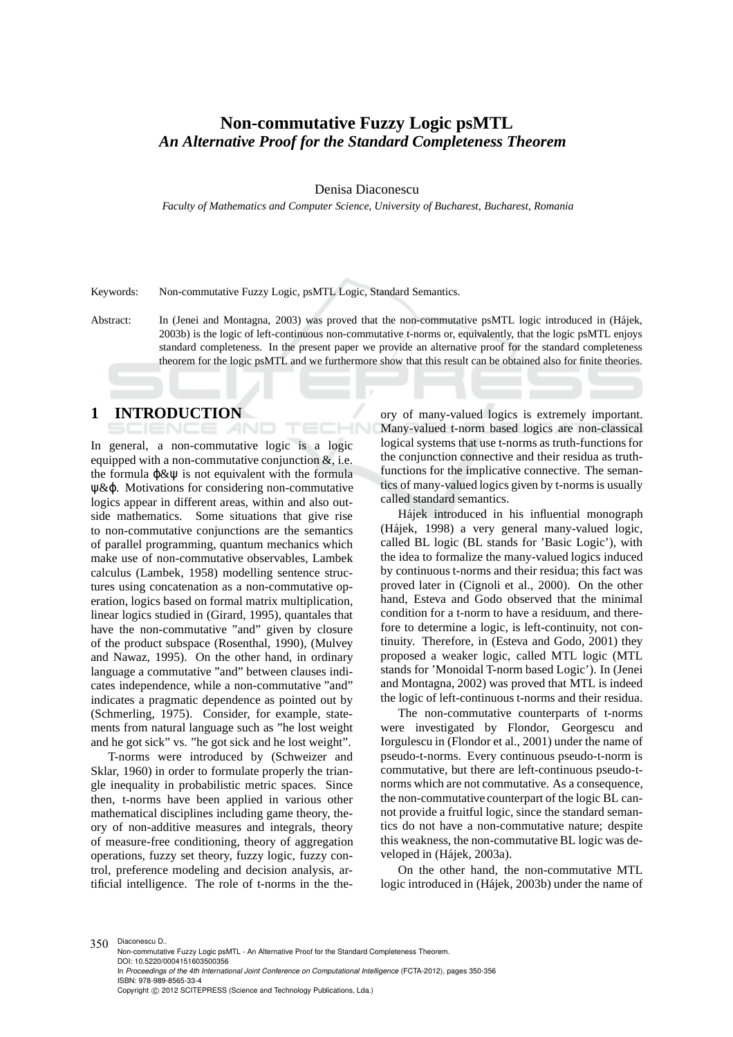## **Non-commutative Fuzzy Logic psMTL** *An Alternative Proof for the Standard Completeness Theorem*

#### Denisa Diaconescu

*Faculty of Mathematics and Computer Science, University of Bucharest, Bucharest, Romania*

Keywords: Non-commutative Fuzzy Logic, psMTL Logic, Standard Semantics.

Abstract: In (Jenei and Montagna, 2003) was proved that the non-commutative psMTL logic introduced in (Hájek, 2003b) is the logic of left-continuous non-commutative t-norms or, equivalently, that the logic psMTL enjoys standard completeness. In the present paper we provide an alternative proof for the standard completeness theorem for the logic psMTL and we furthermore show that this result can be obtained also for finite theories.

### **1 INTRODUCTION**

In general, a non-commutative logic is a logic equipped with a non-commutative conjunction &, i.e. the formula  $\phi \& \psi$  is not equivalent with the formula ψ&ϕ. Motivations for considering non-commutative logics appear in different areas, within and also outside mathematics. Some situations that give rise to non-commutative conjunctions are the semantics of parallel programming, quantum mechanics which make use of non-commutative observables, Lambek calculus (Lambek, 1958) modelling sentence structures using concatenation as a non-commutative operation, logics based on formal matrix multiplication, linear logics studied in (Girard, 1995), quantales that have the non-commutative "and" given by closure of the product subspace (Rosenthal, 1990), (Mulvey and Nawaz, 1995). On the other hand, in ordinary language a commutative "and" between clauses indicates independence, while a non-commutative "and" indicates a pragmatic dependence as pointed out by (Schmerling, 1975). Consider, for example, statements from natural language such as "he lost weight and he got sick" vs. "he got sick and he lost weight".

T-norms were introduced by (Schweizer and Sklar, 1960) in order to formulate properly the triangle inequality in probabilistic metric spaces. Since then, t-norms have been applied in various other mathematical disciplines including game theory, theory of non-additive measures and integrals, theory of measure-free conditioning, theory of aggregation operations, fuzzy set theory, fuzzy logic, fuzzy control, preference modeling and decision analysis, artificial intelligence. The role of t-norms in the the-

ory of many-valued logics is extremely important. Many-valued t-norm based logics are non-classical logical systems that use t-norms as truth-functions for the conjunction connective and their residua as truthfunctions for the implicative connective. The semantics of many-valued logics given by t-norms is usually called standard semantics.

Hájek introduced in his influential monograph (Hájek, 1998) a very general many-valued logic, called BL logic (BL stands for 'Basic Logic'), with the idea to formalize the many-valued logics induced by continuous t-norms and their residua; this fact was proved later in (Cignoli et al., 2000). On the other hand, Esteva and Godo observed that the minimal condition for a t-norm to have a residuum, and therefore to determine a logic, is left-continuity, not continuity. Therefore, in (Esteva and Godo, 2001) they proposed a weaker logic, called MTL logic (MTL stands for 'Monoidal T-norm based Logic'). In (Jenei and Montagna, 2002) was proved that MTL is indeed the logic of left-continuous t-norms and their residua.

The non-commutative counterparts of t-norms were investigated by Flondor, Georgescu and Iorgulescu in (Flondor et al., 2001) under the name of pseudo-t-norms. Every continuous pseudo-t-norm is commutative, but there are left-continuous pseudo-tnorms which are not commutative. As a consequence, the non-commutative counterpart of the logic BL cannot provide a fruitful logic, since the standard semantics do not have a non-commutative nature; despite this weakness, the non-commutative BL logic was developed in (Hájek, 2003a).

On the other hand, the non-commutative MTL logic introduced in (Hájek, 2003b) under the name of

350 Diaconescu D.. Non-commutative Fuzzy Logic psMTL - An Alternative Proof for the Standard Completeness Theorem. DOI: 10.5220/0004151603500356 In *Proceedings of the 4th International Joint Conference on Computational Intelligence* (FCTA-2012), pages 350-356 ISBN: 978-989-8565-33-4 Copyright © 2012 SCITEPRESS (Science and Technology Publications, Lda.)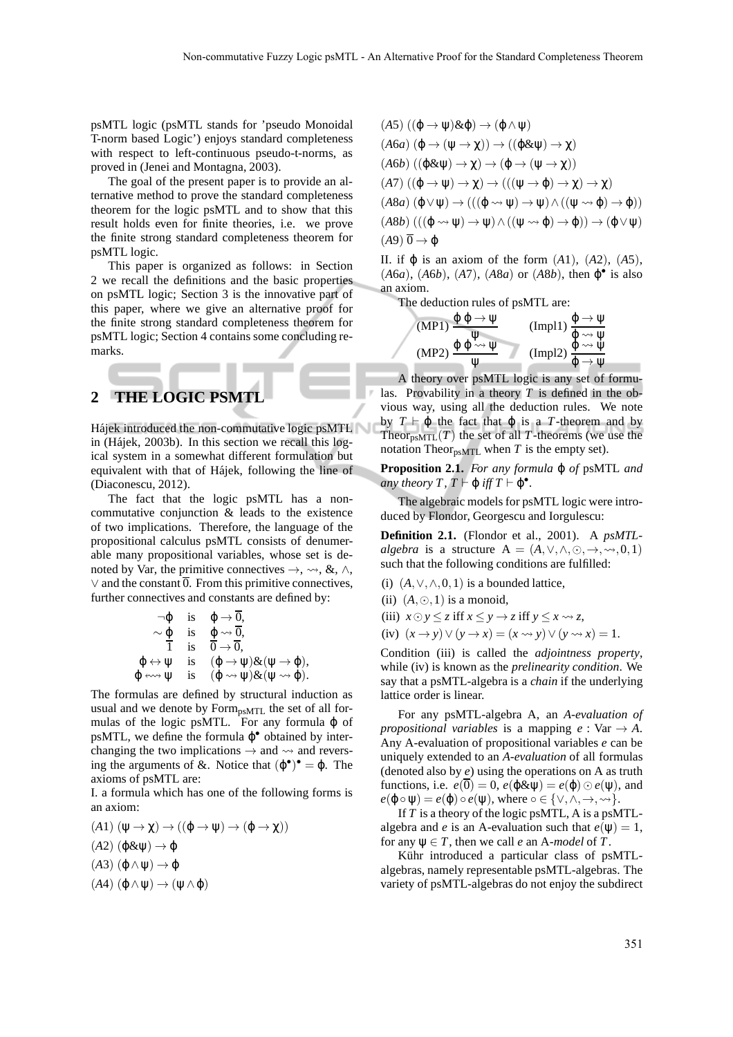psMTL logic (psMTL stands for 'pseudo Monoidal T-norm based Logic') enjoys standard completeness with respect to left-continuous pseudo-t-norms, as proved in (Jenei and Montagna, 2003).

The goal of the present paper is to provide an alternative method to prove the standard completeness theorem for the logic psMTL and to show that this result holds even for finite theories, i.e. we prove the finite strong standard completeness theorem for psMTL logic.

This paper is organized as follows: in Section 2 we recall the definitions and the basic properties on psMTL logic; Section 3 is the innovative part of this paper, where we give an alternative proof for the finite strong standard completeness theorem for psMTL logic; Section 4 contains some concluding remarks.

# **2 THE LOGIC PSMTL**

Hájek introduced the non-commutative logic psMTL in (Hájek, 2003b). In this section we recall this logical system in a somewhat different formulation but equivalent with that of Hájek, following the line of (Diaconescu, 2012).

The fact that the logic psMTL has a noncommutative conjunction & leads to the existence of two implications. Therefore, the language of the propositional calculus psMTL consists of denumerable many propositional variables, whose set is denoted by Var, the primitive connectives  $\rightarrow$ ,  $\rightsquigarrow$ , &,  $\land$ , ∨ and the constant 0. From this primitive connectives, further connectives and constants are defined by:

$$
\neg \varphi \quad \text{is} \quad \varphi \to \overline{0},
$$
  
\n
$$
\sim \varphi \quad \text{is} \quad \varphi \leadsto \overline{0},
$$
  
\n
$$
\varphi \leftrightarrow \psi \quad \text{is} \quad (\varphi \to \psi) \& (\psi \to \varphi),
$$
  
\n
$$
\varphi \leftrightarrow \psi \quad \text{is} \quad (\varphi \leadsto \psi) \& (\psi \leadsto \varphi).
$$

The formulas are defined by structural induction as usual and we denote by Form<sub>psMTL</sub> the set of all formulas of the logic psMTL. For any formula  $\varphi$  of psMTL, we define the formula  $\varphi^{\bullet}$  obtained by interchanging the two implications  $\rightarrow$  and  $\rightsquigarrow$  and reversing the arguments of &. Notice that  $(\varphi^{\bullet})^{\bullet} = \varphi$ . The axioms of psMTL are:

I. a formula which has one of the following forms is an axiom:

 $(A1)$   $(\psi \rightarrow \chi) \rightarrow ((\phi \rightarrow \psi) \rightarrow (\phi \rightarrow \chi))$  $(A2)$  (φ&ψ)  $\rightarrow$  φ  $(A3)$  (φ ∧ ψ) → φ (*A*4) (ϕ∧ψ) → (ψ∧ϕ)

$$
(A5) ((\varphi \rightarrow \psi) \& \varphi) \rightarrow (\varphi \land \psi)
$$
  
\n
$$
(A6a) (\varphi \rightarrow (\psi \rightarrow \chi)) \rightarrow ((\varphi \& \psi) \rightarrow \chi)
$$
  
\n
$$
(A6b) ((\varphi \& \psi) \rightarrow \chi) \rightarrow (\varphi \rightarrow (\psi \rightarrow \chi))
$$
  
\n
$$
(A7) ((\varphi \rightarrow \psi) \rightarrow \chi) \rightarrow (((\psi \rightarrow \varphi) \rightarrow \chi) \rightarrow \chi)
$$
  
\n
$$
(A8a) (\varphi \lor \psi) \rightarrow (((\varphi \rightsquigarrow \psi) \rightarrow \psi) \land ((\psi \rightsquigarrow \varphi) \rightarrow \varphi))
$$
  
\n
$$
(A8b) (((\varphi \rightsquigarrow \psi) \rightarrow \psi) \land ((\psi \rightsquigarrow \varphi) \rightarrow \varphi)) \rightarrow (\varphi \lor \psi)
$$
  
\n
$$
(A9) \overline{0} \rightarrow \varphi
$$

II. if ϕ is an axiom of the form (*A*1), (*A*2), (*A*5), (*A*6*a*), (*A*6*b*), (*A*7), (*A*8*a*) or (*A*8*b*), then ϕ • is also an axiom.

The deduction rules of psMTL are:

$$
(MP1) \frac{\varphi \varphi \to \psi}{\psi} \qquad (Impl1) \frac{\varphi \to \psi}{\varphi \leadsto \psi}
$$
  
\n
$$
(MP2) \frac{\varphi \varphi \leadsto \psi}{\psi} \qquad (Impl2) \frac{\varphi \leadsto \psi}{\varphi \to \psi}
$$

A theory over psMTL logic is any set of formulas. Provability in a theory *T* is defined in the obvious way, using all the deduction rules. We note by *T*  $\vdash$   $\phi$  the fact that  $\phi$  is a *T*-theorem and by Theor<sub>psMTL</sub> $(T)$  the set of all *T*-theorems (we use the notation Theor $_{psMTL}$  when *T* is the empty set).

**Proposition 2.1.** *For any formula* ϕ *of* psMTL *and any theory T*,  $T \vdash \varphi$  *iff*  $T \vdash \varphi^{\bullet}$ .

The algebraic models for psMTL logic were introduced by Flondor, Georgescu and Iorgulescu:

**Definition 2.1.** (Flondor et al., 2001). A *psMTLalgebra* is a structure  $A = (A, \vee, \wedge, \odot, \rightarrow, \rightsquigarrow, 0, 1)$ such that the following conditions are fulfilled:

(i)  $(A, \vee, \wedge, 0, 1)$  is a bounded lattice,

- (ii)  $(A, \odot, 1)$  is a monoid,
- (iii)  $x \odot y \leq z$  if  $f \odot y \leq y \rightarrow z$  if  $f \odot y \leq x \rightarrow z$ ,
- (iv)  $(x \rightarrow y) \vee (y \rightarrow x) = (x \rightarrow y) \vee (y \rightarrow x) = 1.$

Condition (iii) is called the *adjointness property*, while (iv) is known as the *prelinearity condition*. We say that a psMTL-algebra is a *chain* if the underlying lattice order is linear.

For any psMTL-algebra A, an *A-evaluation of propositional variables* is a mapping  $e : \text{Var} \rightarrow A$ . Any A-evaluation of propositional variables *e* can be uniquely extended to an *A-evaluation* of all formulas (denoted also by *e*) using the operations on A as truth functions, i.e.  $e(\overline{0}) = 0$ ,  $e(\phi \& \psi) = e(\phi) \odot e(\psi)$ , and  $e(\varphi \circ \psi) = e(\varphi) \circ e(\psi)$ , where  $\circ \in \{\vee, \wedge, \rightarrow, \leadsto\}.$ 

If *T* is a theory of the logic psMTL, A is a psMTLalgebra and *e* is an A-evaluation such that  $e(\psi) = 1$ , for any  $\psi \in T$ , then we call *e* an A-*model* of T.

Kühr introduced a particular class of psMTLalgebras, namely representable psMTL-algebras. The variety of psMTL-algebras do not enjoy the subdirect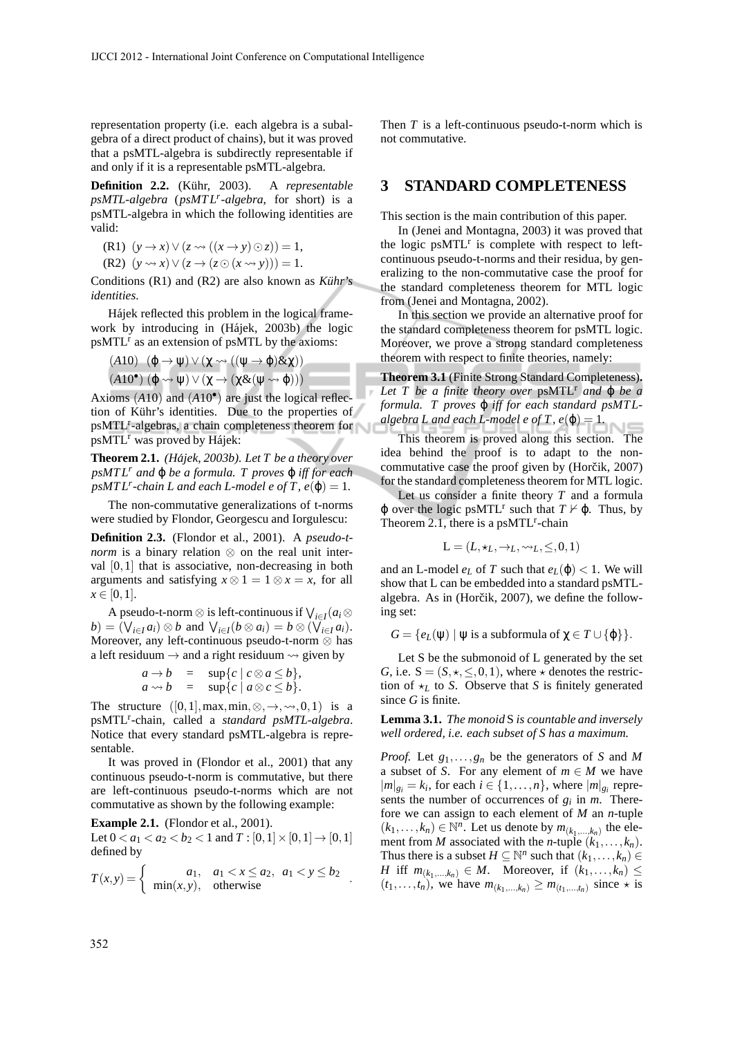representation property (i.e. each algebra is a subalgebra of a direct product of chains), but it was proved that a psMTL-algebra is subdirectly representable if and only if it is a representable psMTL-algebra.

**Definition 2.2.** (Kühr, 2003). A *representable psMTL-algebra* (*psMT L<sup>r</sup> -algebra*, for short) is a psMTL-algebra in which the following identities are valid:

(R1) 
$$
(y \rightarrow x) \vee (z \rightsquigarrow ((x \rightarrow y) \odot z)) = 1,
$$

 $(R2)$   $(y \rightsquigarrow x) \vee (z \rightarrow (z \odot (x \rightsquigarrow y))) = 1.$ 

Conditions (R1) and (R2) are also known as *Kuhr's ¨ identities*.

Hájek reflected this problem in the logical framework by introducing in (Hájek, 2003b) the logic  $p$ sMTL<sup>r</sup> as an extension of  $p$ sMTL by the axioms:

(A10) 
$$
(\varphi \to \psi) \lor (\chi \leadsto ((\psi \to \varphi) \& \chi))
$$
  
(A10<sup>•</sup>)  $(\varphi \leadsto \psi) \lor (\chi \to (\chi \& (\psi \leadsto \varphi)))$ 

Axioms (*A*10) and (*A*10• ) are just the logical reflection of Kühr's identities. Due to the properties of psMTL<sup>r</sup>-algebras, a chain completeness theorem for psMTL<sup>r</sup> was proved by Hájek:

**Theorem 2.1.** *(Hajek, 2003b). Let T be a theory over ´ psMT L<sup>r</sup> and* ϕ *be a formula. T proves* ϕ *iff for each*  $psMTL<sup>r</sup>$ -chain *L* and each *L*-model e of *T*,  $e(\varphi) = 1$ .

The non-commutative generalizations of t-norms were studied by Flondor, Georgescu and Iorgulescu:

**Definition 2.3.** (Flondor et al., 2001). A *pseudo-tnorm* is a binary relation ⊗ on the real unit interval  $[0,1]$  that is associative, non-decreasing in both arguments and satisfying  $x \otimes 1 = 1 \otimes x = x$ , for all  $x \in [0,1].$ 

A pseudo-t-norm  $\otimes$  is left-continuous if  $\bigvee_{i \in I} (a_i \otimes$  $b) = (\bigvee_{i \in I} a_i) \otimes b$  and  $\bigvee_{i \in I} (b \otimes a_i) = b \otimes (\bigvee_{i \in I} a_i).$ Moreover, any left-continuous pseudo-t-norm ⊗ has a left residuum  $\rightarrow$  and a right residuum  $\rightarrow$  given by

$$
a \rightarrow b
$$
 =  $\sup\{c \mid c \otimes a \le b\},$   
\n $a \rightsquigarrow b$  =  $\sup\{c \mid a \otimes c \le b\}.$ 

The structure  $([0,1], \max, \min, \otimes, \rightarrow, \rightsquigarrow, 0, 1)$  is a psMTL<sup>r</sup>-chain, called a *standard psMTL-algebra*. Notice that every standard psMTL-algebra is representable.

It was proved in (Flondor et al., 2001) that any continuous pseudo-t-norm is commutative, but there are left-continuous pseudo-t-norms which are not commutative as shown by the following example:

**Example 2.1.** (Flondor et al., 2001).

Let  $0 < a_1 < a_2 < b_2 < 1$  and  $T : [0,1] \times [0,1] \rightarrow [0,1]$ defined by

$$
T(x,y) = \begin{cases} a_1, & a_1 < x \le a_2, a_1 < y \le b_2 \\ \min(x,y), & \text{otherwise} \end{cases}
$$

Then *T* is a left-continuous pseudo-t-norm which is not commutative.

### **3 STANDARD COMPLETENESS**

This section is the main contribution of this paper.

In (Jenei and Montagna, 2003) it was proved that the logic  $psMTL<sup>r</sup>$  is complete with respect to leftcontinuous pseudo-t-norms and their residua, by generalizing to the non-commutative case the proof for the standard completeness theorem for MTL logic from (Jenei and Montagna, 2002).

In this section we provide an alternative proof for the standard completeness theorem for psMTL logic. Moreover, we prove a strong standard completeness theorem with respect to finite theories, namely:

**Theorem 3.1** (Finite Strong Standard Completeness)**.** *Let*  $T$  *be a finite theory over*  $psMTL^{r}$  *and*  $\varphi$  *be a formula. T proves*  $\varphi$  *iff for each standard psMTLalgebra L and each L-model e of T, e* $(\varphi) = 1$ .

This theorem is proved along this section. The idea behind the proof is to adapt to the noncommutative case the proof given by (Horčik, 2007) for the standard completeness theorem for MTL logic.

Let us consider a finite theory *T* and a formula  $\varphi$  over the logic psMTL<sup>r</sup> such that  $T \nvDash \varphi$ . Thus, by Theorem 2.1, there is a  $psMTL<sup>r</sup>$ -chain

$$
\mathbf{L} = (L, \star_L, \to_L, \leadsto_L, \leq, 0, 1)
$$

and an L-model  $e_L$  of T such that  $e_L(\varphi) < 1$ . We will show that L can be embedded into a standard psMTLalgebra. As in (Horčik, 2007), we define the following set:

*G* = { $e_L(\psi) | \psi$  is a subformula of  $\chi \in T \cup \{\phi\}$  }.

Let S be the submonoid of L generated by the set *G*, i.e.  $S = (S, \star, \leq, 0, 1)$ , where  $\star$  denotes the restriction of  $\star_L$  to *S*. Observe that *S* is finitely generated since *G* is finite.

**Lemma 3.1.** *The monoid* S *is countable and inversely well ordered, i.e. each subset of S has a maximum.*

*Proof.* Let *g*1,...,*g<sup>n</sup>* be the generators of *S* and *M* a subset of *S*. For any element of  $m \in M$  we have  $|m|_{g_i} = k_i$ , for each  $i \in \{1, ..., n\}$ , where  $|m|_{g_i}$  represents the number of occurrences of  $g_i$  in  $m$ . Therefore we can assign to each element of *M* an *n*-tuple  $(k_1, \ldots, k_n) \in \mathbb{N}^n$ . Let us denote by  $m_{(k_1, \ldots, k_n)}$  the element from *M* associated with the *n*-tuple  $(k_1, \ldots, k_n)$ . Thus there is a subset  $H \subseteq \mathbb{N}^n$  such that  $(k_1, \ldots, k_n) \in$ *H* iff  $m_{(k_1,...,k_n)} \in M$ . Moreover, if  $(k_1,...,k_n) \leq$  $(t_1,...,t_n)$ , we have  $m_{(k_1,...,k_n)} \ge m_{(t_1,...,t_n)}$  since  $\star$  is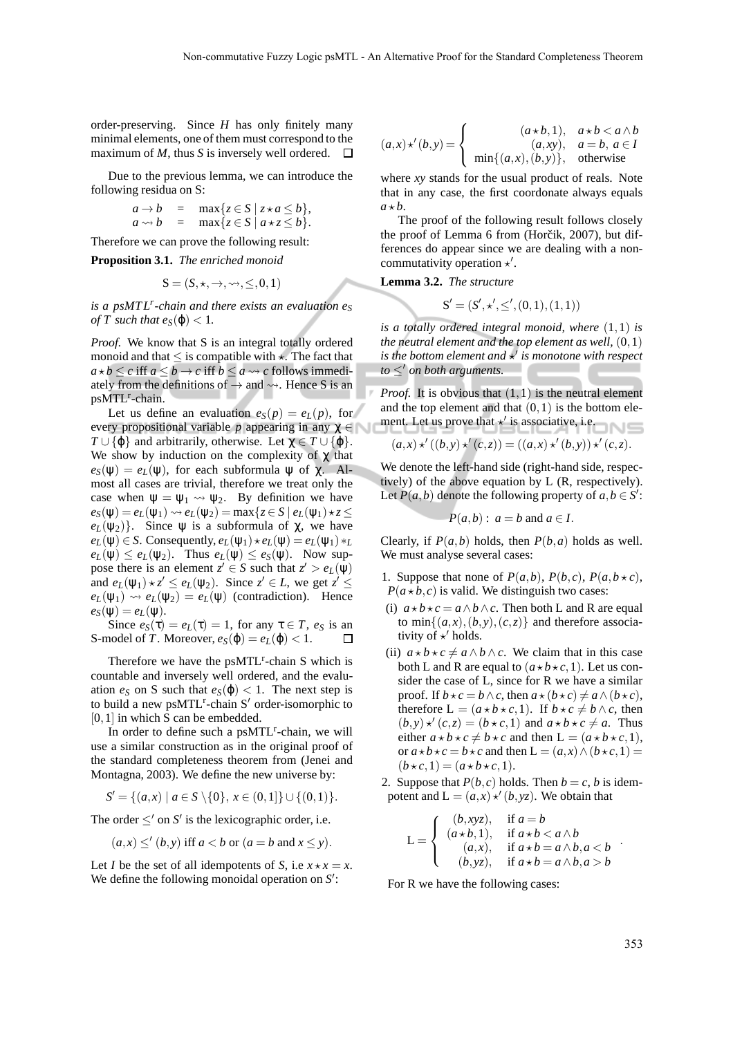order-preserving. Since *H* has only finitely many minimal elements, one of them must correspond to the maximum of *M*, thus *S* is inversely well ordered.  $\Box$ 

Due to the previous lemma, we can introduce the following residua on S:

$$
a \rightarrow b = \max\{z \in S \mid z \star a \le b\},
$$
  
\n
$$
a \rightsquigarrow b = \max\{z \in S \mid a \star z \le b\}.
$$

Therefore we can prove the following result:

**Proposition 3.1.** *The enriched monoid*

$$
\mathbf{S} = (S, \star, \to, \leadsto, \leq, 0, 1)
$$

*is a psMT L<sup>r</sup> -chain and there exists an evaluation e<sup>S</sup> of T such that*  $e_S(\varphi) < 1$ *.* 

*Proof.* We know that S is an integral totally ordered monoid and that  $\leq$  is compatible with  $\star$ . The fact that  $a * b \leq c$  iff  $a \leq b \rightarrow c$  iff  $b \leq a \rightsquigarrow c$  follows immediately from the definitions of  $\rightarrow$  and  $\rightsquigarrow$ . Hence S is an psMTL<sup>r</sup>-chain.

Let us define an evaluation  $e_S(p) = e_L(p)$ , for every propositional variable *p* appearing in any  $\chi \in \mathbb{R}$  $T \cup {\varphi}$  and arbitrarily, otherwise. Let  $\gamma \in T \cup {\varphi}$ . We show by induction on the complexity of  $\chi$  that  $e_S(\psi) = e_L(\psi)$ , for each subformula  $\psi$  of  $\chi$ . Almost all cases are trivial, therefore we treat only the case when  $\psi = \psi_1 \leadsto \psi_2$ . By definition we have  $e_S(\psi) = e_L(\psi_1) \rightsquigarrow e_L(\psi_2) = \max\{z \in S \mid e_L(\psi_1) \star z \leq$  $e_L(\psi_2)$ . Since  $\psi$  is a subformula of  $\chi$ , we have  $e_L(\psi) \in S$ . Consequently,  $e_L(\psi_1) \star e_L(\psi) = e_L(\psi_1) \star L$  $e_L(\psi) \leq e_L(\psi_2)$ . Thus  $e_L(\psi) \leq e_S(\psi)$ . Now suppose there is an element  $z' \in S$  such that  $z' > e_L(\psi)$ and  $e_L(\psi_1) \star z' \leq e_L(\psi_2)$ . Since  $z' \in L$ , we get  $z' \leq$  $e_L(\psi_1) \rightsquigarrow e_L(\psi_2) = e_L(\psi)$  (contradiction). Hence  $e_S(\psi) = e_L(\psi)$ .

Since  $e_S(\tau) = e_L(\tau) = 1$ , for any  $\tau \in T$ ,  $e_S$  is an S-model of *T*. Moreover,  $e_S(\varphi) = e_L(\varphi) < 1$ .  $\Box$ 

Therefore we have the psMTL<sup>r</sup>-chain S which is countable and inversely well ordered, and the evaluation  $e_S$  on S such that  $e_S(\varphi) < 1$ . The next step is to build a new ps $MTL^r$ -chain S' order-isomorphic to [0, 1] in which S can be embedded.

In order to define such a psMTL<sup>r</sup>-chain, we will use a similar construction as in the original proof of the standard completeness theorem from (Jenei and Montagna, 2003). We define the new universe by:

$$
S' = \{(a, x) \mid a \in S \setminus \{0\}, x \in (0, 1]\} \cup \{(0, 1)\}.
$$

The order  $\leq'$  on  $S'$  is the lexicographic order, i.e.

$$
(a,x) \leq' (b,y)
$$
 iff  $a < b$  or  $(a = b$  and  $x \leq y)$ .

Let *I* be the set of all idempotents of *S*, i.e  $x \star x = x$ . We define the following monoidal operation on S':

$$
(a,x) \star'(b,y) = \begin{cases} (a \star b,1), & a \star b < a \wedge b \\ (a,xy), & a = b, a \in I \\ \min\{(a,x),(b,y)\}, & \text{otherwise} \end{cases}
$$

where *xy* stands for the usual product of reals. Note that in any case, the first coordonate always equals  $a * b$ .

The proof of the following result follows closely the proof of Lemma 6 from (Horčik, 2007), but differences do appear since we are dealing with a noncommutativity operation  $\star'$ .

**Lemma 3.2.** *The structure*

$$
S' = (S', \star', \leq', (0, 1), (1, 1))
$$

*is a totally ordered integral monoid, where* (1,1) *is the neutral element and the top element as well,*  $(0,1)$ is the bottom element and  $\star'$  is monotone with respect *to* ≤′ *on both arguments.*

*Proof.* It is obvious that  $(1,1)$  is the neutral element and the top element and that  $(0,1)$  is the bottom element. Let us prove that  $\star'$  is associative, i.e.

$$
(a,x) \star' ((b,y) \star' (c,z)) = ((a,x) \star' (b,y)) \star' (c,z).
$$

We denote the left-hand side (right-hand side, respectively) of the above equation by L (R, respectively). Let  $P(a,b)$  denote the following property of  $a,b \in S'$ :

$$
-P(a,b): a=b \text{ and } a \in I.
$$

Clearly, if  $P(a,b)$  holds, then  $P(b,a)$  holds as well. We must analyse several cases:

- 1. Suppose that none of  $P(a,b)$ ,  $P(b,c)$ ,  $P(a,b \star c)$ ,  $P(a \star b, c)$  is valid. We distinguish two cases:
- (i)  $a \star b \star c = a \land b \land c$ . Then both L and R are equal to min $\{(a,x), (b,y), (c,z)\}\$ and therefore associativity of  $\star'$  holds.
- (ii)  $a \star b \star c \neq a \land b \land c$ . We claim that in this case both L and R are equal to  $(a \star b \star c, 1)$ . Let us consider the case of L, since for R we have a similar proof. If  $b \star c = b \wedge c$ , then  $a \star (b \star c) \neq a \wedge (b \star c)$ , therefore  $L = (a * b * c, 1)$ . If  $b * c \neq b \land c$ , then  $(b, y) \star (c, z) = (b \star c, 1)$  and  $a \star b \star c \neq a$ . Thus either  $a \star b \star c \neq b \star c$  and then  $L = (a \star b \star c, 1),$ or  $a \star b \star c = b \star c$  and then  $L = (a, x) \wedge (b \star c, 1) =$  $(b \star c, 1) = (a \star b \star c, 1).$
- 2. Suppose that  $P(b, c)$  holds. Then  $b = c$ , *b* is idempotent and  $L = (a, x) \star' (b, yz)$ . We obtain that

$$
L = \begin{cases} (b, xyz), & \text{if } a = b \\ (a \star b, 1), & \text{if } a \star b < a \wedge b \\ (a, x), & \text{if } a \star b = a \wedge b, a < b \\ (b, yz), & \text{if } a \star b = a \wedge b, a > b \end{cases}.
$$

For R we have the following cases: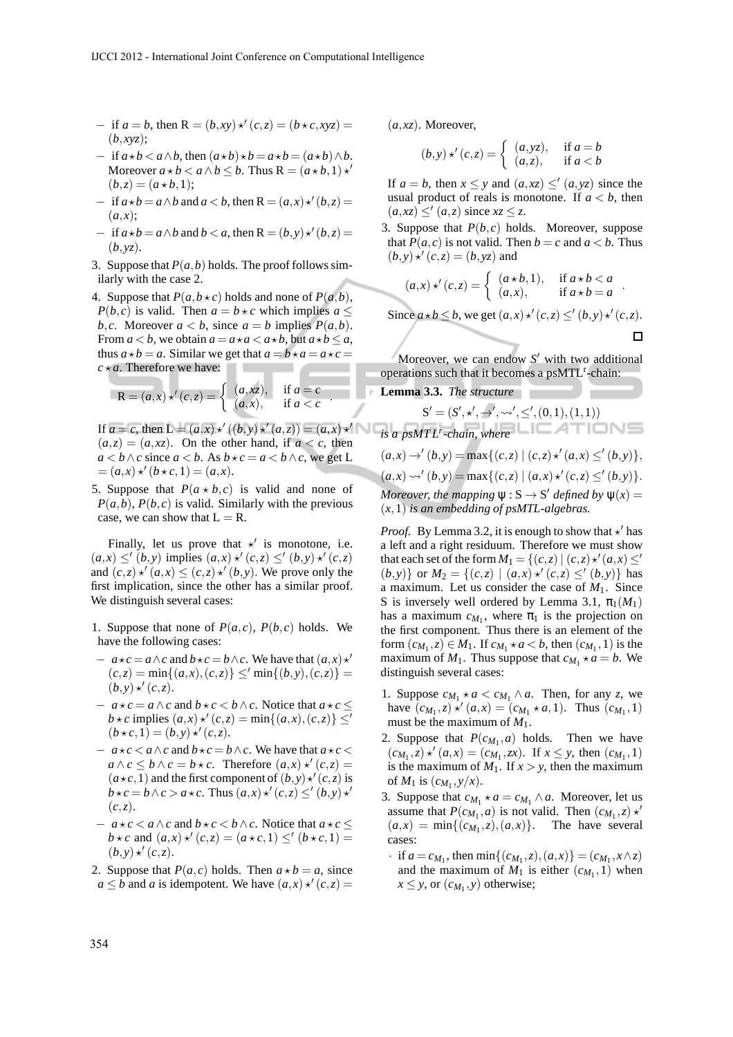- $-$  if  $a = b$ , then  $R = (b, xy) \star (c, z) = (b \star c, xyz) =$ (*b*,*xyz*);
- $-$  if  $a \star b < a \land b$ , then  $(a \star b) \star b = a \star b = (a \star b) \land b$ . Moreover  $a * b < a \land b \leq b$ . Thus  $R = (a * b, 1) *^b$  $(b, z) = (a * b, 1);$
- $-$  if  $a \star b = a \wedge b$  and  $a < b$ , then  $R = (a,x) \star (b, z) =$  $(a,x);$
- $-$  if  $a \star b = a \wedge b$  and  $b < a$ , then  $R = (b, y) \star (b, z) =$ (*b*,*yz*).
- 3. Suppose that  $P(a, b)$  holds. The proof follows similarly with the case 2.
- 4. Suppose that  $P(a, b \star c)$  holds and none of  $P(a, b)$ , *P*(*b*,*c*) is valid. Then  $a = b \star c$  which implies  $a \leq$ *b*,*c*. Moreover  $a < b$ , since  $a = b$  implies  $P(a,b)$ . From  $a < b$ , we obtain  $a = a \star a < a \star b$ , but  $a \star b \le a$ , thus  $a \star b = a$ . Similar we get that  $a = b \star a = a \star c = a$  $c \star a$ . Therefore we have:

$$
\mathbf{R} = (a, x) \star' (c, z) = \begin{cases} (a, xz), & \text{if } a = c \\ (a, x), & \text{if } a < c \end{cases}
$$

If  $a = c$ , then  $L = (a, x) \star' ((b, y) \star' (a, z)) = (a, x) \star'$  $(a,z) = (a,xz)$ . On the other hand, if  $a < c$ , then *a* < *b* ∧ *c* since *a* < *b*. As *b*  $\star$  *c* = *a* < *b* ∧ *c*, we get L  $=(a,x) *' (b * c, 1) = (a,x).$ 

5. Suppose that  $P(a * b, c)$  is valid and none of  $P(a,b)$ ,  $P(b,c)$  is valid. Similarly with the previous case, we can show that  $L = R$ .

Finally, let us prove that  $\star'$  is monotone, i.e.  $(a, x) \leq' (b, y)$  implies  $(a, x) \star' (c, z) \leq' (b, y) \star' (c, z)$ and  $(c, z) \star' (a, x) \leq (c, z) \star' (b, y)$ . We prove only the first implication, since the other has a similar proof. We distinguish several cases:

- 1. Suppose that none of  $P(a, c)$ ,  $P(b, c)$  holds. We have the following cases:
- $-a \star c = a \wedge c$  and  $b \star c = b \wedge c$ . We have that  $(a, x) \star'$  $(c,z) = \min\{(a,x), (c,z)\} \leq' \min\{(b,y), (c,z)\}$  $(b, y) \star (c, z).$
- $-a \star c = a \wedge c$  and  $b \star c < b \wedge c$ . Notice that  $a \star c \leq$ *b*  $\star$ *c* implies  $(a, x) \star' (c, z) = \min\{(a, x), (c, z)\} \leq'$  $(b \star c, 1) = (b, y) \star (c, z).$
- $a \star c < a \wedge c$  and  $b \star c = b \wedge c$ . We have that  $a \star c <$  $a \wedge c \leq b \wedge c = b \star c$ . Therefore  $(a, x) \star (c, z) =$  $(a \star c, 1)$  and the first component of  $(b, y) \star' (c, z)$  is  $b \star c = b \wedge c > a \star c$ . Thus  $(a, x) \star (c, z) \leq (b, y) \star'$  $(c, z)$ .
- $-a \star c < a \wedge c$  and  $b \star c < b \wedge c$ . Notice that  $a \star c \leq$ *b*  $\star$  *c* and  $(a, x) \star'$   $(c, z) = (a \star c, 1) \leq' (b \star c, 1) =$  $(b,y) \star (c,z)$ .
- 2. Suppose that  $P(a, c)$  holds. Then  $a \star b = a$ , since  $a \leq b$  and *a* is idempotent. We have  $(a, x) \star (c, z) =$

(*a*,*xz*). Moreover,

$$
(b, y) \star' (c, z) = \begin{cases} (a, yz), & \text{if } a = b \\ (a, z), & \text{if } a < b \end{cases}
$$

If  $a = b$ , then  $x \leq y$  and  $(a, xz) \leq (a, yz)$  since the usual product of reals is monotone. If  $a < b$ , then  $(a, xz) \leq' (a, z)$  since  $xz \leq z$ .

3. Suppose that *P*(*b*,*c*) holds. Moreover, suppose that  $P(a, c)$  is not valid. Then  $b = c$  and  $a < b$ . Thus  $(b, y) \star' (c, z) = (b, yz)$  and

$$
(a,x) \star' (c,z) = \begin{cases} (a \star b,1), & \text{if } a \star b < a \\ (a,x), & \text{if } a \star b = a \end{cases}.
$$

Since  $a \star b \leq b$ , we get  $(a, x) \star (c, z) \leq (b, y) \star (c, z)$ .

$$
\Box
$$

Moreover, we can endow *S* ′ with two additional operations such that it becomes a  $psMTL<sup>r</sup>$ -chain:

**Lemma 3.3.** *The structure*

$$
S' = (S', \star', \to', \leadsto', \le', (0, 1), (1, 1))
$$
  
is a *psMTL<sup>r</sup>-chain, where*  

$$
(a, x) \to' (b, y) = max\{(c, z) | (c, z) \star' (a, x) \le' (b, y)\},
$$

$$
(a, x) \leadsto' (b, y) = max\{(c, z) | (a, x) \star' (c, z) \le' (b, y)\}.
$$
  
Moreover, the mapping  $\psi : S \to S'$  defined by  $\psi(x) =$   
 $(x, 1)$  is an embedding of *psMTL-algebras*.

*Proof.* By Lemma 3.2, it is enough to show that  $\star'$  has a left and a right residuum. Therefore we must show that each set of the form  $M_1 = \{(c, z) | (c, z) \star (a, x) \leq b \}$  $(b, y)$ } or  $M_2 = \{(c, z) \mid (a, x) \star (c, z) \leq (b, y)\}$  has a maximum. Let us consider the case of  $M_1$ . Since S is inversely well ordered by Lemma 3.1,  $\pi_1(M_1)$ has a maximum  $c_{M_1}$ , where  $\pi_1$  is the projection on the first component. Thus there is an element of the form  $(c_{M_1}, z) \in M_1$ . If  $c_{M_1} \star a < b$ , then  $(c_{M_1}, 1)$  is the maximum of  $M_1$ . Thus suppose that  $c_{M_1} \star a = b$ . We distinguish several cases:

- 1. Suppose  $c_{M_1} \star a < c_{M_1} \wedge a$ . Then, for any *z*, we have  $(c_{M_1}, z) \star' (a, x) = (c_{M_1} \star a, 1)$ . Thus  $(c_{M_1}, 1)$ must be the maximum of *M*1.
- 2. Suppose that  $P(c_{M_1}, a)$  holds. Then we have  $(c_{M_1}, z) \star' (a, x) = (c_{M_1}, zx)$ . If  $x \leq y$ , then  $(c_{M_1}, 1)$ is the maximum of  $M_1$ . If  $x > y$ , then the maximum of  $M_1$  is  $(c_{M_1}, y/x)$ .
- 3. Suppose that  $c_{M_1} \star a = c_{M_1} \wedge a$ . Moreover, let us assume that  $P(c_{M_1}, a)$  is not valid. Then  $(c_{M_1}, z) \star'$  $(a,x) = \min\{(c_{M_1},z), (a,x)\}.$  The have several cases:
- $\cdot$  if  $a = c_{M_1}$ , then  $\min\{(c_{M_1}, z), (a, x)\} = (c_{M_1}, x \wedge z)$ and the maximum of  $M_1$  is either  $(c_{M_1}, 1)$  when  $x \leq y$ , or  $(c_{M_1}, y)$  otherwise;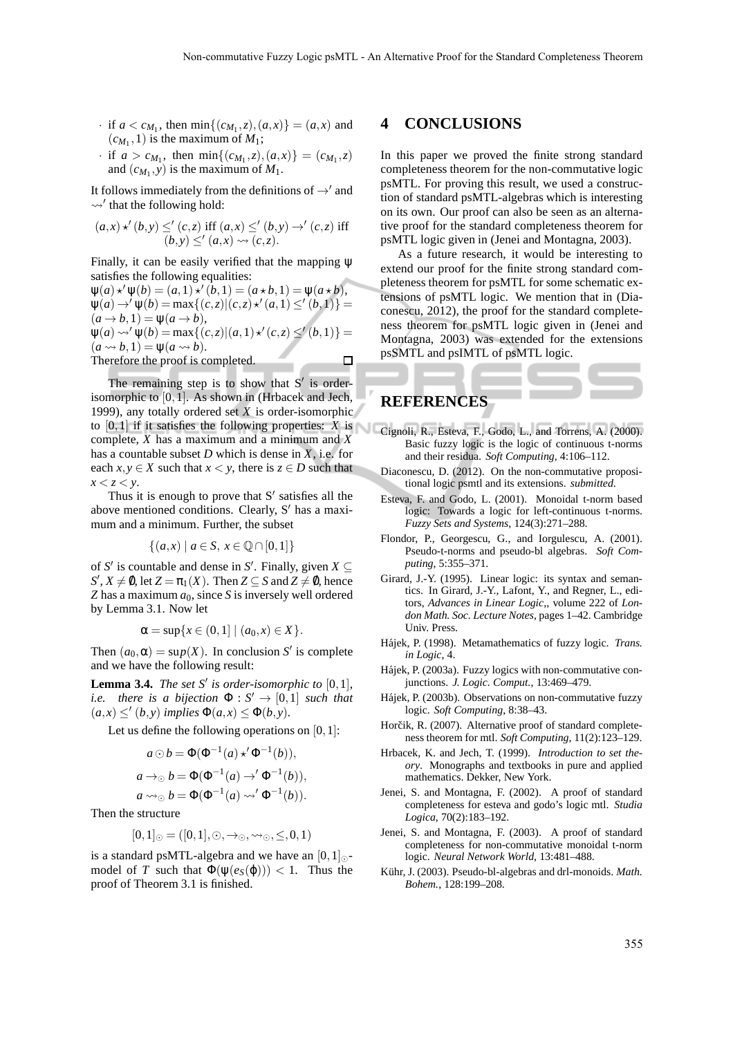- $\cdot$  if  $a < c_{M_1}$ , then  $\min\{(c_{M_1}, z), (a, x)\} = (a, x)$  and  $(c_{M_1}, 1)$  is the maximum of  $M_1$ ;
- $\cdot$  if  $a > c_{M_1}$ , then  $\min\{(c_{M_1}, z), (a, x)\} = (c_{M_1}, z)$ and  $(c_{M_1}, y)$  is the maximum of  $M_1$ .

It follows immediately from the definitions of  $\rightarrow'$  and  $\rightsquigarrow$ ' that the following hold:

$$
(a,x) \star' (b,y) \leq' (c,z) \text{ iff } (a,x) \leq' (b,y) \to' (c,z) \text{ iff } (b,y) \leq' (a,x) \rightsquigarrow (c,z).
$$

Finally, it can be easily verified that the mapping ψ satisfies the following equalities:

 $\Psi(a) \star' \Psi(b) = (a, 1) \star' (b, 1) = (a \star b, 1) = \Psi(a \star b),$  $\Psi(a) \rightarrow' \Psi(b) = \max\{(c, z) | (c, z) \star' (a, 1) \leq' (b, 1)\} =$  $(a \rightarrow b, 1) = \psi(a \rightarrow b),$  $\Psi(a) \rightsquigarrow' \Psi(b) = \max\{(c, z) | (a, 1) \star' (c, z) \leq' (b, 1) \} =$  $(a \rightsquigarrow b, 1) = \psi(a \rightsquigarrow b).$ Therefore the proof is completed.  $\Box$ 

The remaining step is to show that  $S'$  is orderisomorphic to [0,1]. As shown in (Hrbacek and Jech, 1999), any totally ordered set *X* is order-isomorphic to  $[0,1]$  if it satisfies the following properties: *X* is Cignoli, R., Esteva, F., Godo, L., and Torrens, A. (2000). complete, *X* has a maximum and a minimum and *X* has a countable subset *D* which is dense in *X*, i.e. for each  $x, y \in X$  such that  $x < y$ , there is  $z \in D$  such that  $x < z < y$ .

Thus it is enough to prove that  $S'$  satisfies all the above mentioned conditions. Clearly, S′ has a maximum and a minimum. Further, the subset

$$
\{(a, x) \mid a \in S, x \in \mathbb{Q} \cap [0, 1]\}
$$

of *S'* is countable and dense in *S'*. Finally, given  $X \subseteq$  $S', X \neq \emptyset$ , let  $Z = \pi_1(X)$ . Then  $Z \subseteq S$  and  $Z \neq \emptyset$ , hence *Z* has a maximum  $a_0$ , since *S* is inversely well ordered by Lemma 3.1. Now let

$$
\alpha = \sup\{x \in (0,1] \mid (a_0, x) \in X\}.
$$

Then  $(a_0, \alpha) = \sup(X)$ . In conclusion *S'* is complete and we have the following result:

**Lemma 3.4.** *The set S' is order-isomorphic to*  $[0,1]$ *, i.e.* there is a bijection  $\Phi : S' \to [0,1]$  *such that*  $(a,x) \leq' (b,y)$  *implies*  $\Phi(a,x) \leq \Phi(b,y)$ *.* 

Let us define the following operations on  $[0,1]$ :

$$
a \odot b = \Phi(\Phi^{-1}(a) \star' \Phi^{-1}(b)),
$$
  
\n
$$
a \to_{\odot} b = \Phi(\Phi^{-1}(a) \to' \Phi^{-1}(b)),
$$
  
\n
$$
a \leadsto_{\odot} b = \Phi(\Phi^{-1}(a) \leadsto' \Phi^{-1}(b)).
$$

Then the structure

$$
[0,1]_{\odot} = ([0,1],\odot,\rightarrow_{\odot},\rightsquigarrow_{\odot},\leq,0,1)
$$

is a standard psMTL-algebra and we have an  $[0,1]_{\odot}$ model of *T* such that  $\Phi(\psi(e_S(\varphi))) < 1$ . Thus the proof of Theorem 3.1 is finished.

### **4 CONCLUSIONS**

In this paper we proved the finite strong standard completeness theorem for the non-commutative logic psMTL. For proving this result, we used a construction of standard psMTL-algebras which is interesting on its own. Our proof can also be seen as an alternative proof for the standard completeness theorem for psMTL logic given in (Jenei and Montagna, 2003).

As a future research, it would be interesting to extend our proof for the finite strong standard completeness theorem for psMTL for some schematic extensions of psMTL logic. We mention that in (Diaconescu, 2012), the proof for the standard completeness theorem for psMTL logic given in (Jenei and Montagna, 2003) was extended for the extensions psSMTL and psIMTL of psMTL logic.

### **REFERENCES**

- Basic fuzzy logic is the logic of continuous t-norms and their residua. *Soft Computing*, 4:106–112.
- Diaconescu, D. (2012). On the non-commutative propositional logic psmtl and its extensions. *submitted*.
- Esteva, F. and Godo, L. (2001). Monoidal t-norm based logic: Towards a logic for left-continuous t-norms. *Fuzzy Sets and Systems*, 124(3):271–288.
- Flondor, P., Georgescu, G., and Iorgulescu, A. (2001). Pseudo-t-norms and pseudo-bl algebras. *Soft Computing*, 5:355–371.
- Girard, J.-Y. (1995). Linear logic: its syntax and semantics. In Girard, J.-Y., Lafont, Y., and Regner, L., editors, *Advances in Linear Logic,*, volume 222 of *London Math. Soc. Lecture Notes*, pages 1–42. Cambridge Univ. Press.
- Hájek, P. (1998). Metamathematics of fuzzy logic. *Trans. in Logic*, 4.
- Hájek, P. (2003a). Fuzzy logics with non-commutative conjunctions. *J. Logic. Comput.*, 13:469–479.
- Hájek, P. (2003b). Observations on non-commutative fuzzy logic. *Soft Computing*, 8:38–43.
- Horčik, R. (2007). Alternative proof of standard completeness theorem for mtl. *Soft Computing*, 11(2):123–129.
- Hrbacek, K. and Jech, T. (1999). *Introduction to set theory*. Monographs and textbooks in pure and applied mathematics. Dekker, New York.
- Jenei, S. and Montagna, F. (2002). A proof of standard completeness for esteva and godo's logic mtl. *Studia Logica*, 70(2):183–192.
- Jenei, S. and Montagna, F. (2003). A proof of standard completeness for non-commutative monoidal t-norm logic. *Neural Network World*, 13:481–488.
- Kühr, J. (2003). Pseudo-bl-algebras and drl-monoids. Math. *Bohem.*, 128:199–208.